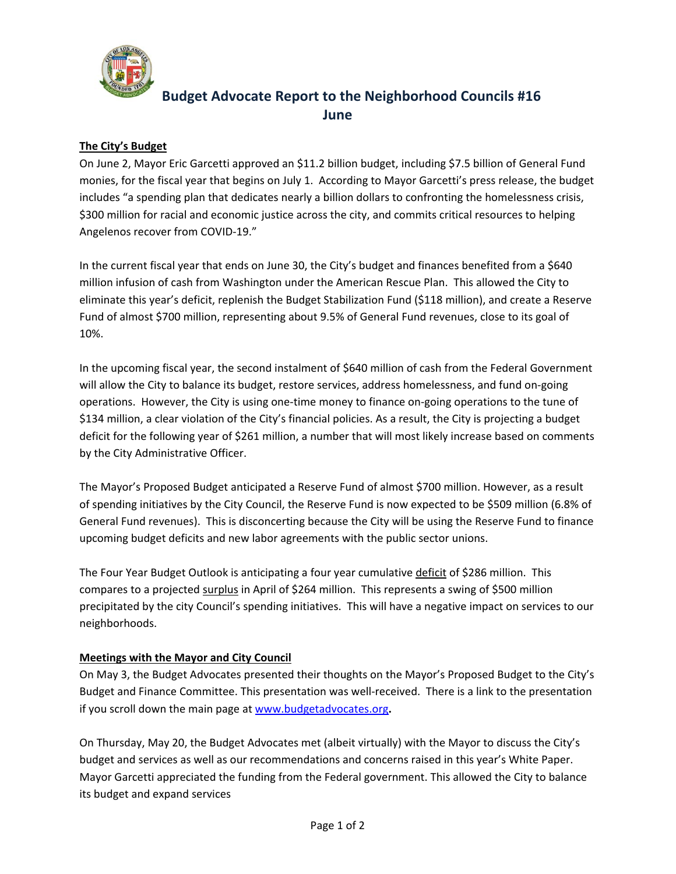

# **Budget Advocate Report to the Neighborhood Councils #16 June**

## **The City's Budget**

On June 2, Mayor Eric Garcetti approved an \$11.2 billion budget, including \$7.5 billion of General Fund monies, for the fiscal year that begins on July 1. According to Mayor Garcetti's press release, the budget includes "a spending plan that dedicates nearly a billion dollars to confronting the homelessness crisis, \$300 million for racial and economic justice across the city, and commits critical resources to helping Angelenos recover from COVID‐19."

In the current fiscal year that ends on June 30, the City's budget and finances benefited from a \$640 million infusion of cash from Washington under the American Rescue Plan. This allowed the City to eliminate this year's deficit, replenish the Budget Stabilization Fund (\$118 million), and create a Reserve Fund of almost \$700 million, representing about 9.5% of General Fund revenues, close to its goal of 10%.

In the upcoming fiscal year, the second instalment of \$640 million of cash from the Federal Government will allow the City to balance its budget, restore services, address homelessness, and fund on‐going operations. However, the City is using one‐time money to finance on‐going operations to the tune of \$134 million, a clear violation of the City's financial policies. As a result, the City is projecting a budget deficit for the following year of \$261 million, a number that will most likely increase based on comments by the City Administrative Officer.

The Mayor's Proposed Budget anticipated a Reserve Fund of almost \$700 million. However, as a result of spending initiatives by the City Council, the Reserve Fund is now expected to be \$509 million (6.8% of General Fund revenues). This is disconcerting because the City will be using the Reserve Fund to finance upcoming budget deficits and new labor agreements with the public sector unions.

The Four Year Budget Outlook is anticipating a four year cumulative deficit of \$286 million. This compares to a projected surplus in April of \$264 million. This represents a swing of \$500 million precipitated by the city Council's spending initiatives. This will have a negative impact on services to our neighborhoods.

### **Meetings with the Mayor and City Council**

On May 3, the Budget Advocates presented their thoughts on the Mayor's Proposed Budget to the City's Budget and Finance Committee. This presentation was well‐received. There is a link to the presentation if you scroll down the main page at www.budgetadvocates.org**.** 

On Thursday, May 20, the Budget Advocates met (albeit virtually) with the Mayor to discuss the City's budget and services as well as our recommendations and concerns raised in this year's White Paper. Mayor Garcetti appreciated the funding from the Federal government. This allowed the City to balance its budget and expand services